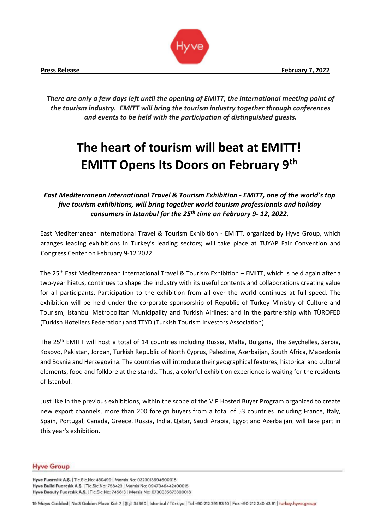

*There are only a few days left until the opening of EMITT, the international meeting point of the tourism industry. EMITT will bring the tourism industry together through conferences and events to be held with the participation of distinguished guests.* 

# **The heart of tourism will beat at EMITT! EMITT Opens Its Doors on February 9th**

*East Mediterranean International Travel & Tourism Exhibition - EMITT, one of the world's top five tourism exhibitions, will bring together world tourism professionals and holiday consumers in Istanbul for the 25th time on February 9- 12, 2022.* 

East Mediterranean International Travel & Tourism Exhibition - EMITT, organized by Hyve Group, which aranges leading exhibitions in Turkey's leading sectors; will take place at TUYAP Fair Convention and Congress Center on February 9-12 2022.

The 25th East Mediterranean International Travel & Tourism Exhibition – EMITT, which is held again after a two-year hiatus, continues to shape the industry with its useful contents and collaborations creating value for all participants. Participation to the exhibition from all over the world continues at full speed. The exhibition will be held under the corporate sponsorship of Republic of Turkey Ministry of Culture and Tourism, Istanbul Metropolitan Municipality and Turkish Airlines; and in the partnership with TÜROFED (Turkish Hoteliers Federation) and TTYD (Turkish Tourism Investors Association).

The 25<sup>th</sup> EMITT will host a total of 14 countries including Russia, Malta, Bulgaria, The Seychelles, Serbia, Kosovo, Pakistan, Jordan, Turkish Republic of North Cyprus, Palestine, Azerbaijan, South Africa, Macedonia and Bosnia and Herzegovina. The countries will introduce their geographical features, historical and cultural elements, food and folklore at the stands. Thus, a colorful exhibition experience is waiting for the residents of Istanbul.

Just like in the previous exhibitions, within the scope of the VIP Hosted Buyer Program organized to create new export channels, more than 200 foreign buyers from a total of 53 countries including France, Italy, Spain, Portugal, Canada, Greece, Russia, India, Qatar, Saudi Arabia, Egypt and Azerbaijan, will take part in this year's exhibition.

### **Hyve Group**

Hyve Fuarcılık A.Ş. | Tic.Sic.No: 430499 | Mersis No: 0323013694600018 Hyve Build Fuarcılık A.Ş. | Tic.Sic.No: 758423 | Mersis No: 0947046442400015 Hyve Beauty Fuarcılık A.Ş. | Tic.Sic.No: 745813 | Mersis No: 0730035673300018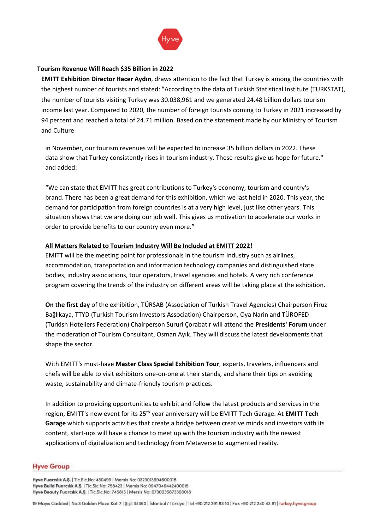

### **Tourism Revenue Will Reach \$35 Billion in 2022**

**EMITT Exhibition Director Hacer Aydın**, draws attention to the fact that Turkey is among the countries with the highest number of tourists and stated: "According to the data of Turkish Statistical Institute (TURKSTAT), the number of tourists visiting Turkey was 30.038,961 and we generated 24.48 billion dollars tourism income last year. Compared to 2020, the number of foreign tourists coming to Turkey in 2021 increased by 94 percent and reached a total of 24.71 million. Based on the statement made by our Ministry of Tourism and Culture

in November, our tourism revenues will be expected to increase 35 billion dollars in 2022. These data show that Turkey consistently rises in tourism industry. These results give us hope for future." and added:

"We can state that EMITT has great contributions to Turkey's economy, tourism and country's brand. There has been a great demand for this exhibition, which we last held in 2020. This year, the demand for participation from foreign countries is at a very high level, just like other years. This situation shows that we are doing our job well. This gives us motivation to accelerate our works in order to provide benefits to our country even more."

### **All Matters Related to Tourism Industry Will Be Included at EMITT 2022!**

EMITT will be the meeting point for professionals in the tourism industry such as airlines, accommodation, transportation and information technology companies and distinguished state bodies, industry associations, tour operators, travel agencies and hotels. A very rich conference program covering the trends of the industry on different areas will be taking place at the exhibition.

**On the first day** of the exhibition, TÜRSAB (Association of Turkish Travel Agencies) Chairperson Firuz Bağlıkaya, TTYD (Turkish Tourism Investors Association) Chairperson, Oya Narin and TÜROFED (Turkish Hoteliers Federation) Chairperson Sururi Çorabatır will attend the **Presidents' Forum** under the moderation of Tourism Consultant, Osman Ayık. They will discuss the latest developments that shape the sector.

With EMITT's must-have **Master Class Special Exhibition Tour**, experts, travelers, influencers and chefs will be able to visit exhibitors one-on-one at their stands, and share their tips on avoiding waste, sustainability and climate-friendly tourism practices.

In addition to providing opportunities to exhibit and follow the latest products and services in the region, EMITT's new event for its 25th year anniversary will be EMITT Tech Garage. At **EMITT Tech Garage** which supports activities that create a bridge between creative minds and investors with its content, start-ups will have a chance to meet up with the tourism industry with the newest applications of digitalization and technology from Metaverse to augmented reality.

### **Hyve Group**

Hyve Fuarcılık A.Ş. | Tic.Sic.No: 430499 | Mersis No: 0323013694600018 Hyve Build Fuarcılık A.Ş. | Tic.Sic.No: 758423 | Mersis No: 0947046442400015 Hyve Beauty Fuarcılık A.Ş. | Tic.Sic.No: 745813 | Mersis No: 0730035673300018